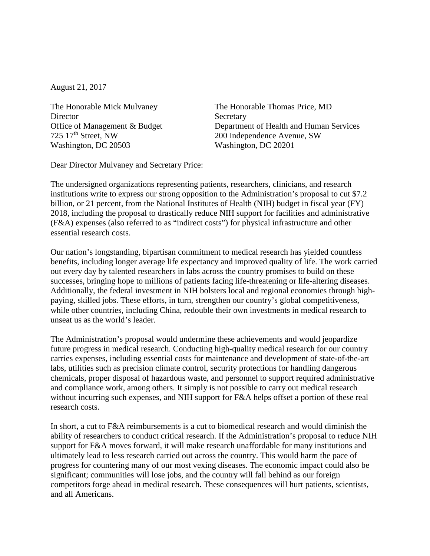August 21, 2017

The Honorable Mick Mulvaney **Director** Office of Management & Budget 725 17th Street, NW Washington, DC 20503

The Honorable Thomas Price, MD Secretary Department of Health and Human Services 200 Independence Avenue, SW Washington, DC 20201

Dear Director Mulvaney and Secretary Price:

The undersigned organizations representing patients, researchers, clinicians, and research institutions write to express our strong opposition to the Administration's proposal to cut \$7.2 billion, or 21 percent, from the National Institutes of Health (NIH) budget in fiscal year (FY) 2018, including the proposal to drastically reduce NIH support for facilities and administrative (F&A) expenses (also referred to as "indirect costs") for physical infrastructure and other essential research costs.

Our nation's longstanding, bipartisan commitment to medical research has yielded countless benefits, including longer average life expectancy and improved quality of life. The work carried out every day by talented researchers in labs across the country promises to build on these successes, bringing hope to millions of patients facing life-threatening or life-altering diseases. Additionally, the federal investment in NIH bolsters local and regional economies through highpaying, skilled jobs. These efforts, in turn, strengthen our country's global competitiveness, while other countries, including China, redouble their own investments in medical research to unseat us as the world's leader.

The Administration's proposal would undermine these achievements and would jeopardize future progress in medical research. Conducting high-quality medical research for our country carries expenses, including essential costs for maintenance and development of state-of-the-art labs, utilities such as precision climate control, security protections for handling dangerous chemicals, proper disposal of hazardous waste, and personnel to support required administrative and compliance work, among others. It simply is not possible to carry out medical research without incurring such expenses, and NIH support for F&A helps offset a portion of these real research costs.

In short, a cut to F&A reimbursements is a cut to biomedical research and would diminish the ability of researchers to conduct critical research. If the Administration's proposal to reduce NIH support for F&A moves forward, it will make research unaffordable for many institutions and ultimately lead to less research carried out across the country. This would harm the pace of progress for countering many of our most vexing diseases. The economic impact could also be significant; communities will lose jobs, and the country will fall behind as our foreign competitors forge ahead in medical research. These consequences will hurt patients, scientists, and all Americans.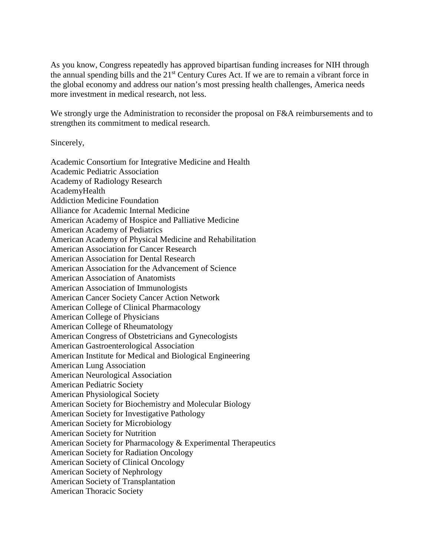As you know, Congress repeatedly has approved bipartisan funding increases for NIH through the annual spending bills and the 21<sup>st</sup> Century Cures Act. If we are to remain a vibrant force in the global economy and address our nation's most pressing health challenges, America needs more investment in medical research, not less.

We strongly urge the Administration to reconsider the proposal on F&A reimbursements and to strengthen its commitment to medical research.

Sincerely,

Academic Consortium for Integrative Medicine and Health Academic Pediatric Association Academy of Radiology Research AcademyHealth Addiction Medicine Foundation Alliance for Academic Internal Medicine American Academy of Hospice and Palliative Medicine American Academy of Pediatrics American Academy of Physical Medicine and Rehabilitation American Association for Cancer Research American Association for Dental Research American Association for the Advancement of Science American Association of Anatomists American Association of Immunologists American Cancer Society Cancer Action Network American College of Clinical Pharmacology American College of Physicians American College of Rheumatology American Congress of Obstetricians and Gynecologists American Gastroenterological Association American Institute for Medical and Biological Engineering American Lung Association American Neurological Association American Pediatric Society American Physiological Society American Society for Biochemistry and Molecular Biology American Society for Investigative Pathology American Society for Microbiology American Society for Nutrition American Society for Pharmacology & Experimental Therapeutics American Society for Radiation Oncology American Society of Clinical Oncology American Society of Nephrology American Society of Transplantation American Thoracic Society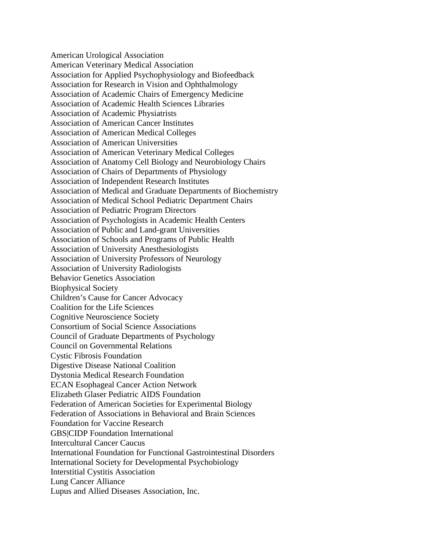American Urological Association American Veterinary Medical Association Association for Applied Psychophysiology and Biofeedback Association for Research in Vision and Ophthalmology Association of Academic Chairs of Emergency Medicine Association of Academic Health Sciences Libraries Association of Academic Physiatrists Association of American Cancer Institutes Association of American Medical Colleges Association of American Universities Association of American Veterinary Medical Colleges Association of Anatomy Cell Biology and Neurobiology Chairs Association of Chairs of Departments of Physiology Association of Independent Research Institutes Association of Medical and Graduate Departments of Biochemistry Association of Medical School Pediatric Department Chairs Association of Pediatric Program Directors Association of Psychologists in Academic Health Centers Association of Public and Land-grant Universities Association of Schools and Programs of Public Health Association of University Anesthesiologists Association of University Professors of Neurology Association of University Radiologists Behavior Genetics Association Biophysical Society Children's Cause for Cancer Advocacy Coalition for the Life Sciences Cognitive Neuroscience Society Consortium of Social Science Associations Council of Graduate Departments of Psychology Council on Governmental Relations Cystic Fibrosis Foundation Digestive Disease National Coalition Dystonia Medical Research Foundation ECAN Esophageal Cancer Action Network Elizabeth Glaser Pediatric AIDS Foundation Federation of American Societies for Experimental Biology Federation of Associations in Behavioral and Brain Sciences Foundation for Vaccine Research GBS|CIDP Foundation International Intercultural Cancer Caucus International Foundation for Functional Gastrointestinal Disorders International Society for Developmental Psychobiology Interstitial Cystitis Association Lung Cancer Alliance Lupus and Allied Diseases Association, Inc.